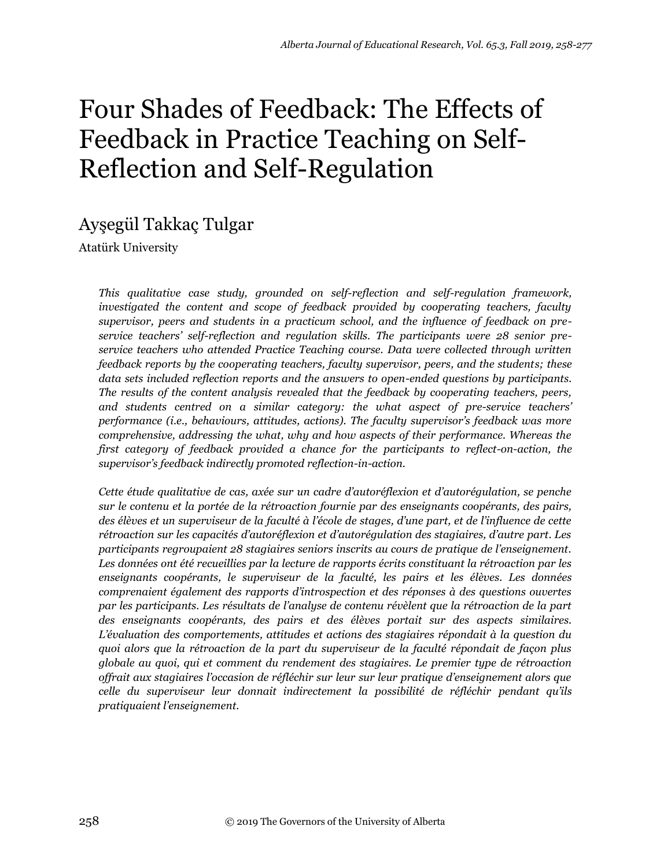# Four Shades of Feedback: The Effects of Feedback in Practice Teaching on Self-Reflection and Self-Regulation

# Ayşegül Takkaç Tulgar

Atatürk University

*This qualitative case study, grounded on self-reflection and self-regulation framework, investigated the content and scope of feedback provided by cooperating teachers, faculty supervisor, peers and students in a practicum school, and the influence of feedback on preservice teachers' self-reflection and regulation skills. The participants were 28 senior preservice teachers who attended Practice Teaching course. Data were collected through written feedback reports by the cooperating teachers, faculty supervisor, peers, and the students; these data sets included reflection reports and the answers to open-ended questions by participants. The results of the content analysis revealed that the feedback by cooperating teachers, peers, and students centred on a similar category: the what aspect of pre-service teachers' performance (i.e., behaviours, attitudes, actions). The faculty supervisor's feedback was more comprehensive, addressing the what, why and how aspects of their performance. Whereas the first category of feedback provided a chance for the participants to reflect-on-action, the supervisor's feedback indirectly promoted reflection-in-action.* 

*Cette étude qualitative de cas, axée sur un cadre d'autoréflexion et d'autorégulation, se penche sur le contenu et la portée de la rétroaction fournie par des enseignants coopérants, des pairs, des élèves et un superviseur de la faculté à l'école de stages, d'une part, et de l'influence de cette rétroaction sur les capacités d'autoréflexion et d'autorégulation des stagiaires, d'autre part. Les participants regroupaient 28 stagiaires seniors inscrits au cours de pratique de l'enseignement. Les données ont été recueillies par la lecture de rapports écrits constituant la rétroaction par les enseignants coopérants, le superviseur de la faculté, les pairs et les élèves. Les données comprenaient également des rapports d'introspection et des réponses à des questions ouvertes par les participants. Les résultats de l'analyse de contenu révèlent que la rétroaction de la part des enseignants coopérants, des pairs et des élèves portait sur des aspects similaires. L'évaluation des comportements, attitudes et actions des stagiaires répondait à la question du quoi alors que la rétroaction de la part du superviseur de la faculté répondait de façon plus globale au quoi, qui et comment du rendement des stagiaires. Le premier type de rétroaction offrait aux stagiaires l'occasion de réfléchir sur leur sur leur pratique d'enseignement alors que celle du superviseur leur donnait indirectement la possibilité de réfléchir pendant qu'ils pratiquaient l'enseignement.*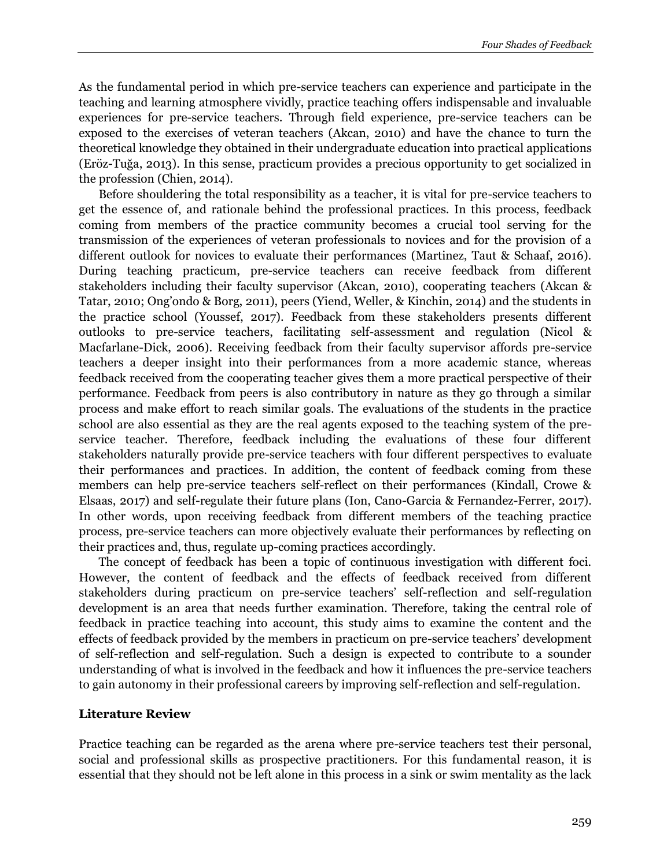As the fundamental period in which pre-service teachers can experience and participate in the teaching and learning atmosphere vividly, practice teaching offers indispensable and invaluable experiences for pre-service teachers. Through field experience, pre-service teachers can be exposed to the exercises of veteran teachers (Akcan, 2010) and have the chance to turn the theoretical knowledge they obtained in their undergraduate education into practical applications (Eröz-Tuğa, 2013). In this sense, practicum provides a precious opportunity to get socialized in the profession (Chien, 2014).

Before shouldering the total responsibility as a teacher, it is vital for pre-service teachers to get the essence of, and rationale behind the professional practices. In this process, feedback coming from members of the practice community becomes a crucial tool serving for the transmission of the experiences of veteran professionals to novices and for the provision of a different outlook for novices to evaluate their performances (Martinez, Taut & Schaaf, 2016). During teaching practicum, pre-service teachers can receive feedback from different stakeholders including their faculty supervisor (Akcan, 2010), cooperating teachers (Akcan & Tatar, 2010; Ong'ondo & Borg, 2011), peers (Yiend, Weller, & Kinchin, 2014) and the students in the practice school (Youssef, 2017). Feedback from these stakeholders presents different outlooks to pre-service teachers, facilitating self-assessment and regulation (Nicol & Macfarlane-Dick, 2006). Receiving feedback from their faculty supervisor affords pre-service teachers a deeper insight into their performances from a more academic stance, whereas feedback received from the cooperating teacher gives them a more practical perspective of their performance. Feedback from peers is also contributory in nature as they go through a similar process and make effort to reach similar goals. The evaluations of the students in the practice school are also essential as they are the real agents exposed to the teaching system of the preservice teacher. Therefore, feedback including the evaluations of these four different stakeholders naturally provide pre-service teachers with four different perspectives to evaluate their performances and practices. In addition, the content of feedback coming from these members can help pre-service teachers self-reflect on their performances (Kindall, Crowe & Elsaas, 2017) and self-regulate their future plans (Ion, Cano-Garcia & Fernandez-Ferrer, 2017). In other words, upon receiving feedback from different members of the teaching practice process, pre-service teachers can more objectively evaluate their performances by reflecting on their practices and, thus, regulate up-coming practices accordingly.

The concept of feedback has been a topic of continuous investigation with different foci. However, the content of feedback and the effects of feedback received from different stakeholders during practicum on pre-service teachers' self-reflection and self-regulation development is an area that needs further examination. Therefore, taking the central role of feedback in practice teaching into account, this study aims to examine the content and the effects of feedback provided by the members in practicum on pre-service teachers' development of self-reflection and self-regulation. Such a design is expected to contribute to a sounder understanding of what is involved in the feedback and how it influences the pre-service teachers to gain autonomy in their professional careers by improving self-reflection and self-regulation.

#### **Literature Review**

Practice teaching can be regarded as the arena where pre-service teachers test their personal, social and professional skills as prospective practitioners. For this fundamental reason, it is essential that they should not be left alone in this process in a sink or swim mentality as the lack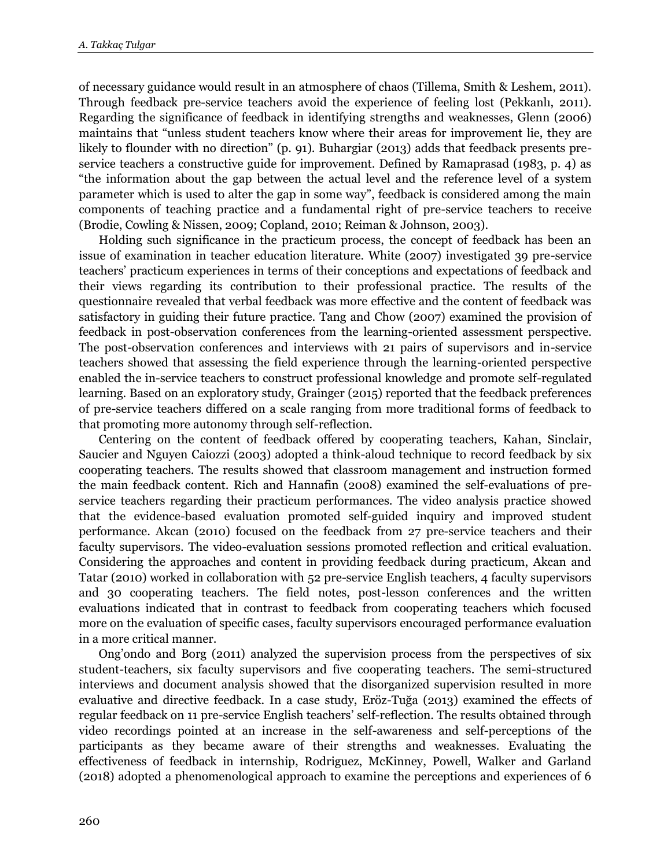of necessary guidance would result in an atmosphere of chaos (Tillema, Smith & Leshem, 2011). Through feedback pre-service teachers avoid the experience of feeling lost (Pekkanlı, 2011). Regarding the significance of feedback in identifying strengths and weaknesses, Glenn (2006) maintains that "unless student teachers know where their areas for improvement lie, they are likely to flounder with no direction" (p. 91). Buhargiar (2013) adds that feedback presents preservice teachers a constructive guide for improvement. Defined by Ramaprasad (1983, p. 4) as "the information about the gap between the actual level and the reference level of a system parameter which is used to alter the gap in some way", feedback is considered among the main components of teaching practice and a fundamental right of pre-service teachers to receive (Brodie, Cowling & Nissen, 2009; Copland, 2010; Reiman & Johnson, 2003).

Holding such significance in the practicum process, the concept of feedback has been an issue of examination in teacher education literature. White (2007) investigated 39 pre-service teachers' practicum experiences in terms of their conceptions and expectations of feedback and their views regarding its contribution to their professional practice. The results of the questionnaire revealed that verbal feedback was more effective and the content of feedback was satisfactory in guiding their future practice. Tang and Chow (2007) examined the provision of feedback in post-observation conferences from the learning-oriented assessment perspective. The post-observation conferences and interviews with 21 pairs of supervisors and in-service teachers showed that assessing the field experience through the learning-oriented perspective enabled the in-service teachers to construct professional knowledge and promote self-regulated learning. Based on an exploratory study, Grainger (2015) reported that the feedback preferences of pre-service teachers differed on a scale ranging from more traditional forms of feedback to that promoting more autonomy through self-reflection.

Centering on the content of feedback offered by cooperating teachers, Kahan, Sinclair, Saucier and Nguyen Caiozzi (2003) adopted a think-aloud technique to record feedback by six cooperating teachers. The results showed that classroom management and instruction formed the main feedback content. Rich and Hannafin (2008) examined the self-evaluations of preservice teachers regarding their practicum performances. The video analysis practice showed that the evidence-based evaluation promoted self-guided inquiry and improved student performance. Akcan (2010) focused on the feedback from 27 pre-service teachers and their faculty supervisors. The video-evaluation sessions promoted reflection and critical evaluation. Considering the approaches and content in providing feedback during practicum, Akcan and Tatar (2010) worked in collaboration with 52 pre-service English teachers, 4 faculty supervisors and 30 cooperating teachers. The field notes, post-lesson conferences and the written evaluations indicated that in contrast to feedback from cooperating teachers which focused more on the evaluation of specific cases, faculty supervisors encouraged performance evaluation in a more critical manner.

Ong'ondo and Borg (2011) analyzed the supervision process from the perspectives of six student-teachers, six faculty supervisors and five cooperating teachers. The semi-structured interviews and document analysis showed that the disorganized supervision resulted in more evaluative and directive feedback. In a case study, Eröz-Tuğa (2013) examined the effects of regular feedback on 11 pre-service English teachers' self-reflection. The results obtained through video recordings pointed at an increase in the self-awareness and self-perceptions of the participants as they became aware of their strengths and weaknesses. Evaluating the effectiveness of feedback in internship, Rodriguez, McKinney, Powell, Walker and Garland (2018) adopted a phenomenological approach to examine the perceptions and experiences of 6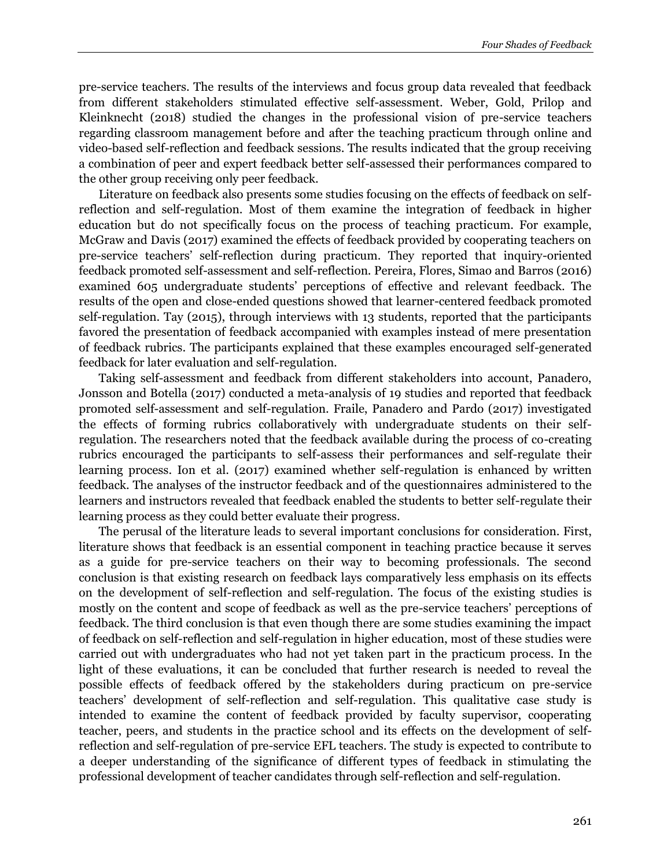pre-service teachers. The results of the interviews and focus group data revealed that feedback from different stakeholders stimulated effective self-assessment. Weber, Gold, Prilop and Kleinknecht (2018) studied the changes in the professional vision of pre-service teachers regarding classroom management before and after the teaching practicum through online and video-based self-reflection and feedback sessions. The results indicated that the group receiving a combination of peer and expert feedback better self-assessed their performances compared to the other group receiving only peer feedback.

Literature on feedback also presents some studies focusing on the effects of feedback on selfreflection and self-regulation. Most of them examine the integration of feedback in higher education but do not specifically focus on the process of teaching practicum. For example, McGraw and Davis (2017) examined the effects of feedback provided by cooperating teachers on pre-service teachers' self-reflection during practicum. They reported that inquiry-oriented feedback promoted self-assessment and self-reflection. Pereira, Flores, Simao and Barros (2016) examined 605 undergraduate students' perceptions of effective and relevant feedback. The results of the open and close-ended questions showed that learner-centered feedback promoted self-regulation. Tay (2015), through interviews with 13 students, reported that the participants favored the presentation of feedback accompanied with examples instead of mere presentation of feedback rubrics. The participants explained that these examples encouraged self-generated feedback for later evaluation and self-regulation.

Taking self-assessment and feedback from different stakeholders into account, Panadero, Jonsson and Botella (2017) conducted a meta-analysis of 19 studies and reported that feedback promoted self-assessment and self-regulation. Fraile, Panadero and Pardo (2017) investigated the effects of forming rubrics collaboratively with undergraduate students on their selfregulation. The researchers noted that the feedback available during the process of co-creating rubrics encouraged the participants to self-assess their performances and self-regulate their learning process. Ion et al. (2017) examined whether self-regulation is enhanced by written feedback. The analyses of the instructor feedback and of the questionnaires administered to the learners and instructors revealed that feedback enabled the students to better self-regulate their learning process as they could better evaluate their progress.

The perusal of the literature leads to several important conclusions for consideration. First, literature shows that feedback is an essential component in teaching practice because it serves as a guide for pre-service teachers on their way to becoming professionals. The second conclusion is that existing research on feedback lays comparatively less emphasis on its effects on the development of self-reflection and self-regulation. The focus of the existing studies is mostly on the content and scope of feedback as well as the pre-service teachers' perceptions of feedback. The third conclusion is that even though there are some studies examining the impact of feedback on self-reflection and self-regulation in higher education, most of these studies were carried out with undergraduates who had not yet taken part in the practicum process. In the light of these evaluations, it can be concluded that further research is needed to reveal the possible effects of feedback offered by the stakeholders during practicum on pre-service teachers' development of self-reflection and self-regulation. This qualitative case study is intended to examine the content of feedback provided by faculty supervisor, cooperating teacher, peers, and students in the practice school and its effects on the development of selfreflection and self-regulation of pre-service EFL teachers. The study is expected to contribute to a deeper understanding of the significance of different types of feedback in stimulating the professional development of teacher candidates through self-reflection and self-regulation.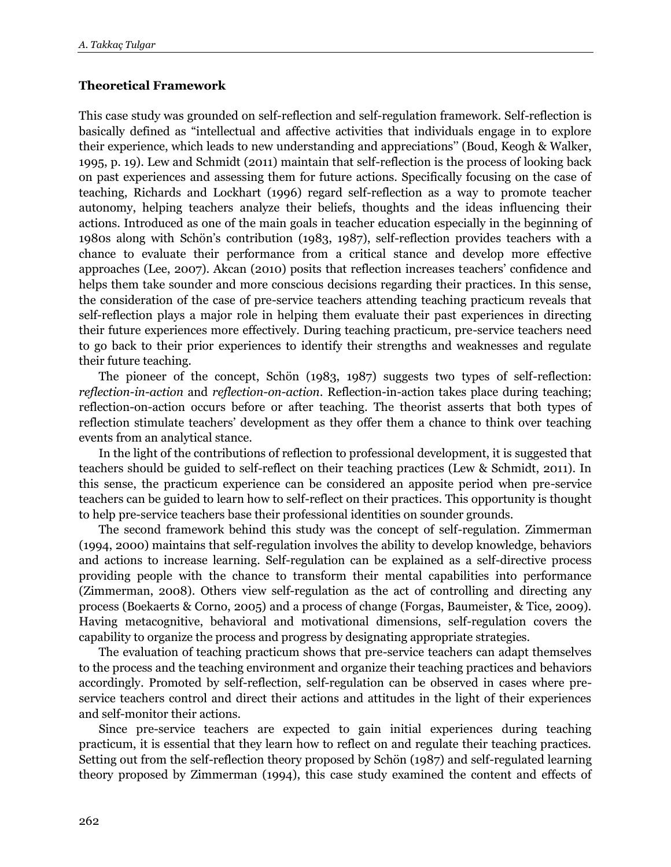# **Theoretical Framework**

This case study was grounded on self-reflection and self-regulation framework. Self-reflection is basically defined as "intellectual and affective activities that individuals engage in to explore their experience, which leads to new understanding and appreciations'' (Boud, Keogh & Walker, 1995, p. 19). Lew and Schmidt (2011) maintain that self-reflection is the process of looking back on past experiences and assessing them for future actions. Specifically focusing on the case of teaching, Richards and Lockhart (1996) regard self-reflection as a way to promote teacher autonomy, helping teachers analyze their beliefs, thoughts and the ideas influencing their actions. Introduced as one of the main goals in teacher education especially in the beginning of 1980s along with Schön's contribution (1983, 1987), self-reflection provides teachers with a chance to evaluate their performance from a critical stance and develop more effective approaches (Lee, 2007). Akcan (2010) posits that reflection increases teachers' confidence and helps them take sounder and more conscious decisions regarding their practices. In this sense, the consideration of the case of pre-service teachers attending teaching practicum reveals that self-reflection plays a major role in helping them evaluate their past experiences in directing their future experiences more effectively. During teaching practicum, pre-service teachers need to go back to their prior experiences to identify their strengths and weaknesses and regulate their future teaching.

The pioneer of the concept, Schön (1983, 1987) suggests two types of self-reflection: *reflection-in-action* and *reflection-on-action*. Reflection-in-action takes place during teaching; reflection-on-action occurs before or after teaching. The theorist asserts that both types of reflection stimulate teachers' development as they offer them a chance to think over teaching events from an analytical stance.

In the light of the contributions of reflection to professional development, it is suggested that teachers should be guided to self-reflect on their teaching practices (Lew & Schmidt, 2011). In this sense, the practicum experience can be considered an apposite period when pre-service teachers can be guided to learn how to self-reflect on their practices. This opportunity is thought to help pre-service teachers base their professional identities on sounder grounds.

The second framework behind this study was the concept of self-regulation. Zimmerman (1994, 2000) maintains that self-regulation involves the ability to develop knowledge, behaviors and actions to increase learning. Self-regulation can be explained as a self-directive process providing people with the chance to transform their mental capabilities into performance (Zimmerman, 2008). Others view self-regulation as the act of controlling and directing any process (Boekaerts & Corno, 2005) and a process of change (Forgas, Baumeister, & Tice, 2009). Having metacognitive, behavioral and motivational dimensions, self-regulation covers the capability to organize the process and progress by designating appropriate strategies.

The evaluation of teaching practicum shows that pre-service teachers can adapt themselves to the process and the teaching environment and organize their teaching practices and behaviors accordingly. Promoted by self-reflection, self-regulation can be observed in cases where preservice teachers control and direct their actions and attitudes in the light of their experiences and self-monitor their actions.

Since pre-service teachers are expected to gain initial experiences during teaching practicum, it is essential that they learn how to reflect on and regulate their teaching practices. Setting out from the self-reflection theory proposed by Schön (1987) and self-regulated learning theory proposed by Zimmerman (1994), this case study examined the content and effects of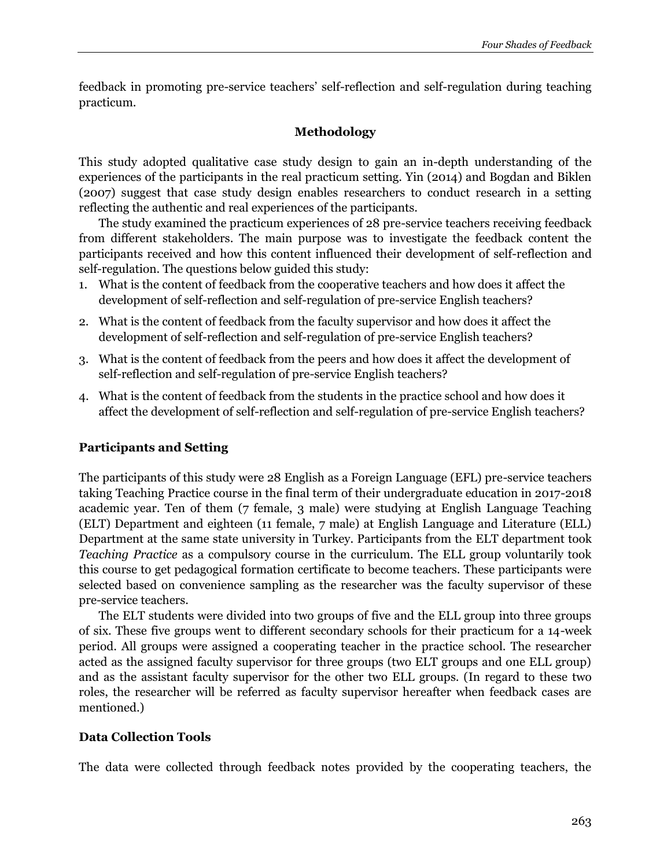feedback in promoting pre-service teachers' self-reflection and self-regulation during teaching practicum.

# **Methodology**

This study adopted qualitative case study design to gain an in-depth understanding of the experiences of the participants in the real practicum setting. Yin (2014) and Bogdan and Biklen (2007) suggest that case study design enables researchers to conduct research in a setting reflecting the authentic and real experiences of the participants.

The study examined the practicum experiences of 28 pre-service teachers receiving feedback from different stakeholders. The main purpose was to investigate the feedback content the participants received and how this content influenced their development of self-reflection and self-regulation. The questions below guided this study:

- 1. What is the content of feedback from the cooperative teachers and how does it affect the development of self-reflection and self-regulation of pre-service English teachers?
- 2. What is the content of feedback from the faculty supervisor and how does it affect the development of self-reflection and self-regulation of pre-service English teachers?
- 3. What is the content of feedback from the peers and how does it affect the development of self-reflection and self-regulation of pre-service English teachers?
- 4. What is the content of feedback from the students in the practice school and how does it affect the development of self-reflection and self-regulation of pre-service English teachers?

# **Participants and Setting**

The participants of this study were 28 English as a Foreign Language (EFL) pre-service teachers taking Teaching Practice course in the final term of their undergraduate education in 2017-2018 academic year. Ten of them (7 female, 3 male) were studying at English Language Teaching (ELT) Department and eighteen (11 female, 7 male) at English Language and Literature (ELL) Department at the same state university in Turkey. Participants from the ELT department took *Teaching Practice* as a compulsory course in the curriculum. The ELL group voluntarily took this course to get pedagogical formation certificate to become teachers. These participants were selected based on convenience sampling as the researcher was the faculty supervisor of these pre-service teachers.

The ELT students were divided into two groups of five and the ELL group into three groups of six. These five groups went to different secondary schools for their practicum for a 14-week period. All groups were assigned a cooperating teacher in the practice school. The researcher acted as the assigned faculty supervisor for three groups (two ELT groups and one ELL group) and as the assistant faculty supervisor for the other two ELL groups. (In regard to these two roles, the researcher will be referred as faculty supervisor hereafter when feedback cases are mentioned.)

# **Data Collection Tools**

The data were collected through feedback notes provided by the cooperating teachers, the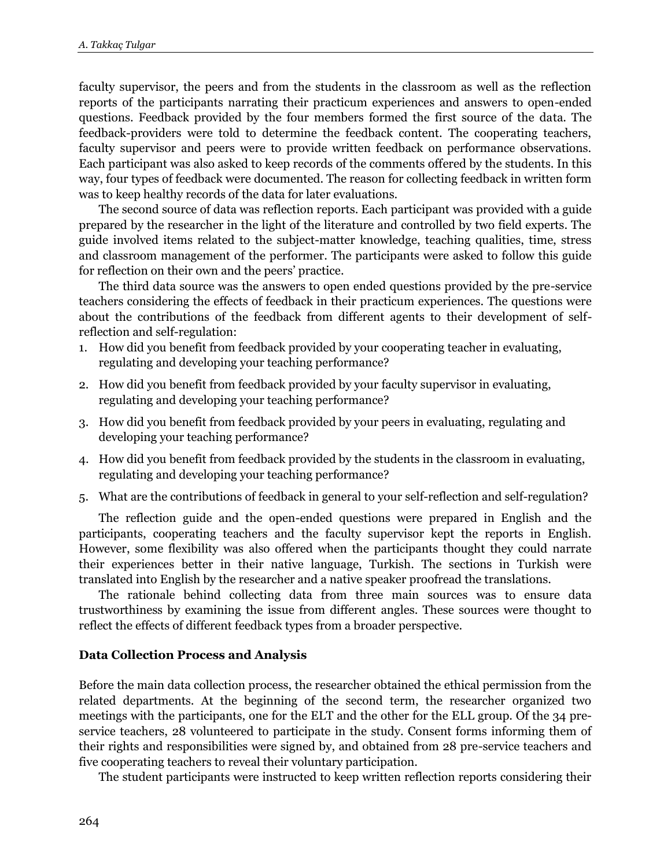faculty supervisor, the peers and from the students in the classroom as well as the reflection reports of the participants narrating their practicum experiences and answers to open-ended questions. Feedback provided by the four members formed the first source of the data. The feedback-providers were told to determine the feedback content. The cooperating teachers, faculty supervisor and peers were to provide written feedback on performance observations. Each participant was also asked to keep records of the comments offered by the students. In this way, four types of feedback were documented. The reason for collecting feedback in written form was to keep healthy records of the data for later evaluations.

The second source of data was reflection reports. Each participant was provided with a guide prepared by the researcher in the light of the literature and controlled by two field experts. The guide involved items related to the subject-matter knowledge, teaching qualities, time, stress and classroom management of the performer. The participants were asked to follow this guide for reflection on their own and the peers' practice.

The third data source was the answers to open ended questions provided by the pre-service teachers considering the effects of feedback in their practicum experiences. The questions were about the contributions of the feedback from different agents to their development of selfreflection and self-regulation:

- 1. How did you benefit from feedback provided by your cooperating teacher in evaluating, regulating and developing your teaching performance?
- 2. How did you benefit from feedback provided by your faculty supervisor in evaluating, regulating and developing your teaching performance?
- 3. How did you benefit from feedback provided by your peers in evaluating, regulating and developing your teaching performance?
- 4. How did you benefit from feedback provided by the students in the classroom in evaluating, regulating and developing your teaching performance?
- 5. What are the contributions of feedback in general to your self-reflection and self-regulation?

The reflection guide and the open-ended questions were prepared in English and the participants, cooperating teachers and the faculty supervisor kept the reports in English. However, some flexibility was also offered when the participants thought they could narrate their experiences better in their native language, Turkish. The sections in Turkish were translated into English by the researcher and a native speaker proofread the translations.

The rationale behind collecting data from three main sources was to ensure data trustworthiness by examining the issue from different angles. These sources were thought to reflect the effects of different feedback types from a broader perspective.

#### **Data Collection Process and Analysis**

Before the main data collection process, the researcher obtained the ethical permission from the related departments. At the beginning of the second term, the researcher organized two meetings with the participants, one for the ELT and the other for the ELL group. Of the 34 preservice teachers, 28 volunteered to participate in the study. Consent forms informing them of their rights and responsibilities were signed by, and obtained from 28 pre-service teachers and five cooperating teachers to reveal their voluntary participation.

The student participants were instructed to keep written reflection reports considering their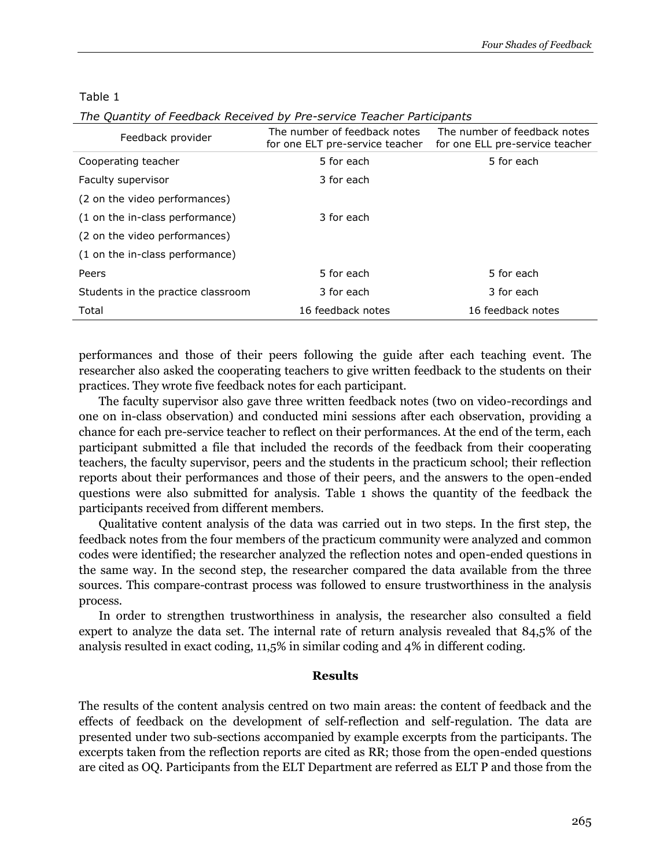#### Table 1

| Feedback provider                  | The number of feedback notes<br>for one ELT pre-service teacher | The number of feedback notes<br>for one ELL pre-service teacher |
|------------------------------------|-----------------------------------------------------------------|-----------------------------------------------------------------|
| Cooperating teacher                | 5 for each                                                      | 5 for each                                                      |
| Faculty supervisor                 | 3 for each                                                      |                                                                 |
| (2 on the video performances)      |                                                                 |                                                                 |
| (1 on the in-class performance)    | 3 for each                                                      |                                                                 |
| (2 on the video performances)      |                                                                 |                                                                 |
| (1 on the in-class performance)    |                                                                 |                                                                 |
| Peers                              | 5 for each                                                      | 5 for each                                                      |
| Students in the practice classroom | 3 for each                                                      | 3 for each                                                      |
| Total                              | 16 feedback notes                                               | 16 feedback notes                                               |

performances and those of their peers following the guide after each teaching event. The researcher also asked the cooperating teachers to give written feedback to the students on their practices. They wrote five feedback notes for each participant.

The faculty supervisor also gave three written feedback notes (two on video-recordings and one on in-class observation) and conducted mini sessions after each observation, providing a chance for each pre-service teacher to reflect on their performances. At the end of the term, each participant submitted a file that included the records of the feedback from their cooperating teachers, the faculty supervisor, peers and the students in the practicum school; their reflection reports about their performances and those of their peers, and the answers to the open-ended questions were also submitted for analysis. Table 1 shows the quantity of the feedback the participants received from different members.

Qualitative content analysis of the data was carried out in two steps. In the first step, the feedback notes from the four members of the practicum community were analyzed and common codes were identified; the researcher analyzed the reflection notes and open-ended questions in the same way. In the second step, the researcher compared the data available from the three sources. This compare-contrast process was followed to ensure trustworthiness in the analysis process.

In order to strengthen trustworthiness in analysis, the researcher also consulted a field expert to analyze the data set. The internal rate of return analysis revealed that 84,5% of the analysis resulted in exact coding, 11,5% in similar coding and 4% in different coding.

#### **Results**

The results of the content analysis centred on two main areas: the content of feedback and the effects of feedback on the development of self-reflection and self-regulation. The data are presented under two sub-sections accompanied by example excerpts from the participants. The excerpts taken from the reflection reports are cited as RR; those from the open-ended questions are cited as OQ. Participants from the ELT Department are referred as ELT P and those from the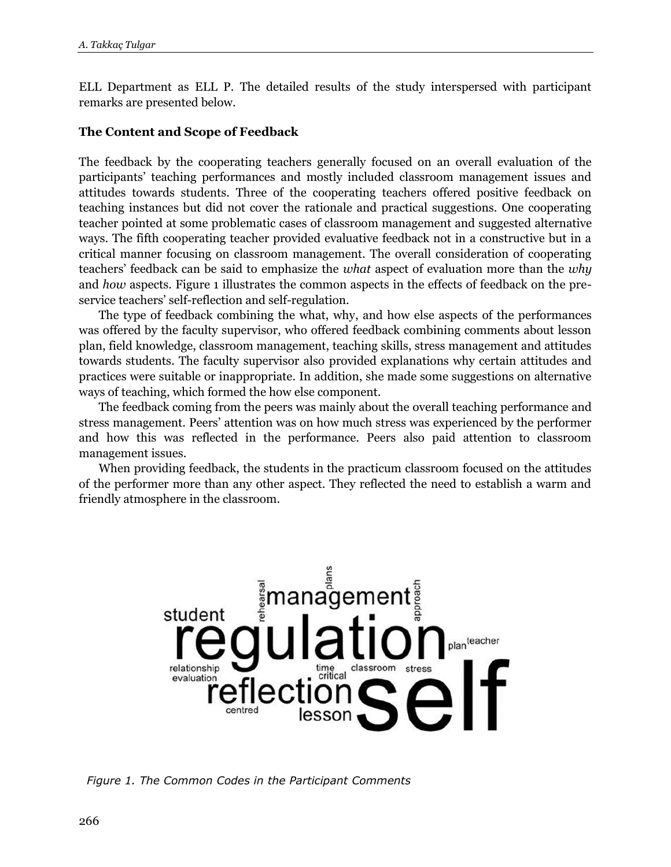ELL Department as ELL P. The detailed results of the study interspersed with participant remarks are presented below.

# **The Content and Scope of Feedback**

The feedback by the cooperating teachers generally focused on an overall evaluation of the participants' teaching performances and mostly included classroom management issues and attitudes towards students. Three of the cooperating teachers offered positive feedback on teaching instances but did not cover the rationale and practical suggestions. One cooperating teacher pointed at some problematic cases of classroom management and suggested alternative ways. The fifth cooperating teacher provided evaluative feedback not in a constructive but in a critical manner focusing on classroom management. The overall consideration of cooperating teachers' feedback can be said to emphasize the *what* aspect of evaluation more than the *why* and *how* aspects. Figure 1 illustrates the common aspects in the effects of feedback on the preservice teachers' self-reflection and self-regulation.

The type of feedback combining the what, why, and how else aspects of the performances was offered by the faculty supervisor, who offered feedback combining comments about lesson plan, field knowledge, classroom management, teaching skills, stress management and attitudes towards students. The faculty supervisor also provided explanations why certain attitudes and practices were suitable or inappropriate. In addition, she made some suggestions on alternative ways of teaching, which formed the how else component.

The feedback coming from the peers was mainly about the overall teaching performance and stress management. Peers' attention was on how much stress was experienced by the performer and how this was reflected in the performance. Peers also paid attention to classroom management issues.

When providing feedback, the students in the practicum classroom focused on the attitudes of the performer more than any other aspect. They reflected the need to establish a warm and friendly atmosphere in the classroom.



*Figure 1. The Common Codes in the Participant Comments*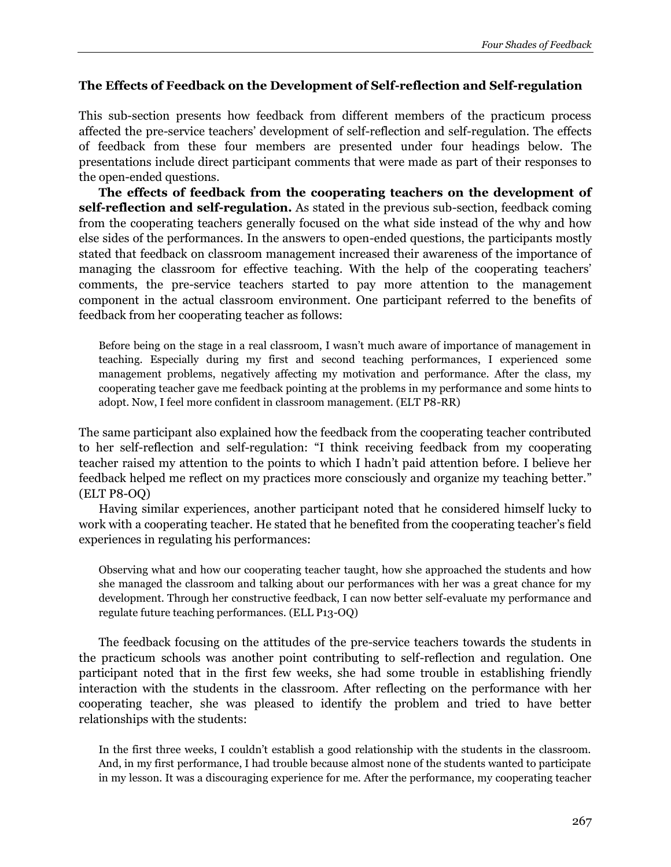# **The Effects of Feedback on the Development of Self-reflection and Self-regulation**

This sub-section presents how feedback from different members of the practicum process affected the pre-service teachers' development of self-reflection and self-regulation. The effects of feedback from these four members are presented under four headings below. The presentations include direct participant comments that were made as part of their responses to the open-ended questions.

**The effects of feedback from the cooperating teachers on the development of self-reflection and self-regulation.** As stated in the previous sub-section, feedback coming from the cooperating teachers generally focused on the what side instead of the why and how else sides of the performances. In the answers to open-ended questions, the participants mostly stated that feedback on classroom management increased their awareness of the importance of managing the classroom for effective teaching. With the help of the cooperating teachers' comments, the pre-service teachers started to pay more attention to the management component in the actual classroom environment. One participant referred to the benefits of feedback from her cooperating teacher as follows:

Before being on the stage in a real classroom, I wasn't much aware of importance of management in teaching. Especially during my first and second teaching performances, I experienced some management problems, negatively affecting my motivation and performance. After the class, my cooperating teacher gave me feedback pointing at the problems in my performance and some hints to adopt. Now, I feel more confident in classroom management. (ELT P8-RR)

The same participant also explained how the feedback from the cooperating teacher contributed to her self-reflection and self-regulation: "I think receiving feedback from my cooperating teacher raised my attention to the points to which I hadn't paid attention before. I believe her feedback helped me reflect on my practices more consciously and organize my teaching better." (ELT P8-OQ)

Having similar experiences, another participant noted that he considered himself lucky to work with a cooperating teacher. He stated that he benefited from the cooperating teacher's field experiences in regulating his performances:

Observing what and how our cooperating teacher taught, how she approached the students and how she managed the classroom and talking about our performances with her was a great chance for my development. Through her constructive feedback, I can now better self-evaluate my performance and regulate future teaching performances. (ELL P13-OQ)

The feedback focusing on the attitudes of the pre-service teachers towards the students in the practicum schools was another point contributing to self-reflection and regulation. One participant noted that in the first few weeks, she had some trouble in establishing friendly interaction with the students in the classroom. After reflecting on the performance with her cooperating teacher, she was pleased to identify the problem and tried to have better relationships with the students:

In the first three weeks, I couldn't establish a good relationship with the students in the classroom. And, in my first performance, I had trouble because almost none of the students wanted to participate in my lesson. It was a discouraging experience for me. After the performance, my cooperating teacher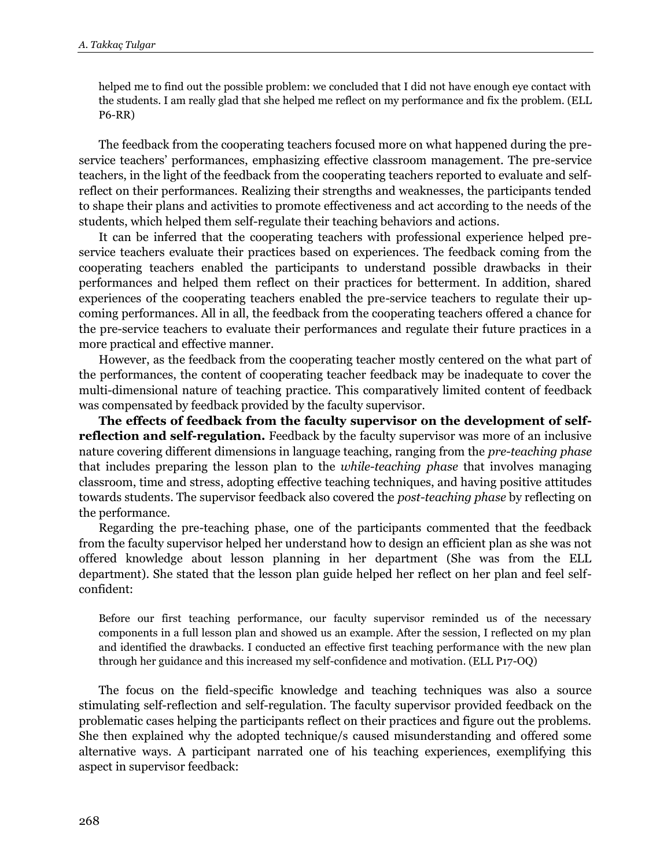helped me to find out the possible problem: we concluded that I did not have enough eye contact with the students. I am really glad that she helped me reflect on my performance and fix the problem. (ELL P6-RR)

The feedback from the cooperating teachers focused more on what happened during the preservice teachers' performances, emphasizing effective classroom management. The pre-service teachers, in the light of the feedback from the cooperating teachers reported to evaluate and selfreflect on their performances. Realizing their strengths and weaknesses, the participants tended to shape their plans and activities to promote effectiveness and act according to the needs of the students, which helped them self-regulate their teaching behaviors and actions.

It can be inferred that the cooperating teachers with professional experience helped preservice teachers evaluate their practices based on experiences. The feedback coming from the cooperating teachers enabled the participants to understand possible drawbacks in their performances and helped them reflect on their practices for betterment. In addition, shared experiences of the cooperating teachers enabled the pre-service teachers to regulate their upcoming performances. All in all, the feedback from the cooperating teachers offered a chance for the pre-service teachers to evaluate their performances and regulate their future practices in a more practical and effective manner.

However, as the feedback from the cooperating teacher mostly centered on the what part of the performances, the content of cooperating teacher feedback may be inadequate to cover the multi-dimensional nature of teaching practice. This comparatively limited content of feedback was compensated by feedback provided by the faculty supervisor.

**The effects of feedback from the faculty supervisor on the development of selfreflection and self-regulation.** Feedback by the faculty supervisor was more of an inclusive nature covering different dimensions in language teaching, ranging from the *pre-teaching phase* that includes preparing the lesson plan to the *while-teaching phase* that involves managing classroom, time and stress, adopting effective teaching techniques, and having positive attitudes towards students. The supervisor feedback also covered the *post-teaching phase* by reflecting on the performance.

Regarding the pre-teaching phase, one of the participants commented that the feedback from the faculty supervisor helped her understand how to design an efficient plan as she was not offered knowledge about lesson planning in her department (She was from the ELL department). She stated that the lesson plan guide helped her reflect on her plan and feel selfconfident:

Before our first teaching performance, our faculty supervisor reminded us of the necessary components in a full lesson plan and showed us an example. After the session, I reflected on my plan and identified the drawbacks. I conducted an effective first teaching performance with the new plan through her guidance and this increased my self-confidence and motivation. (ELL P17-OQ)

The focus on the field-specific knowledge and teaching techniques was also a source stimulating self-reflection and self-regulation. The faculty supervisor provided feedback on the problematic cases helping the participants reflect on their practices and figure out the problems. She then explained why the adopted technique/s caused misunderstanding and offered some alternative ways. A participant narrated one of his teaching experiences, exemplifying this aspect in supervisor feedback: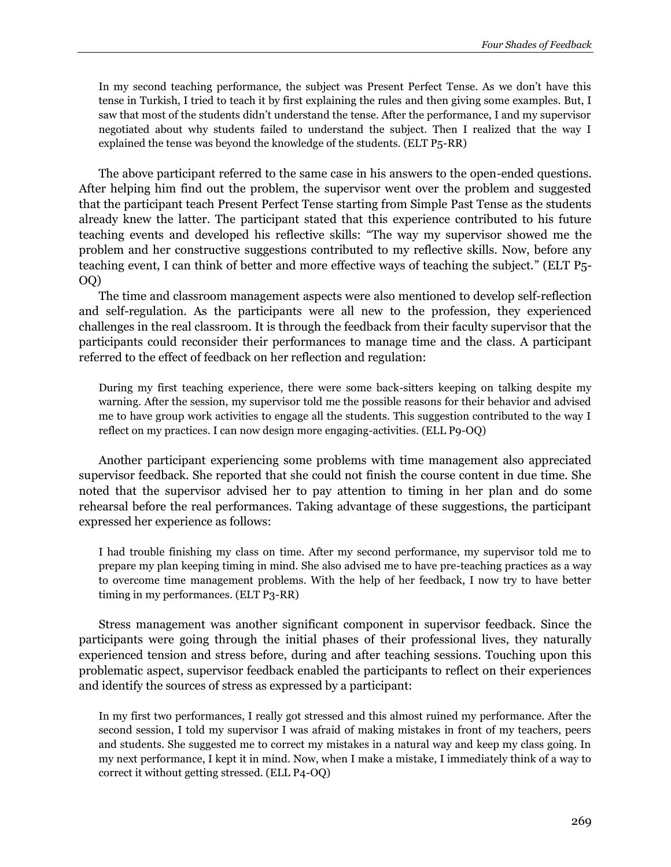In my second teaching performance, the subject was Present Perfect Tense. As we don't have this tense in Turkish, I tried to teach it by first explaining the rules and then giving some examples. But, I saw that most of the students didn't understand the tense. After the performance, I and my supervisor negotiated about why students failed to understand the subject. Then I realized that the way I explained the tense was beyond the knowledge of the students. (ELT P5-RR)

The above participant referred to the same case in his answers to the open-ended questions. After helping him find out the problem, the supervisor went over the problem and suggested that the participant teach Present Perfect Tense starting from Simple Past Tense as the students already knew the latter. The participant stated that this experience contributed to his future teaching events and developed his reflective skills: "The way my supervisor showed me the problem and her constructive suggestions contributed to my reflective skills. Now, before any teaching event, I can think of better and more effective ways of teaching the subject." (ELT P5- OQ)

The time and classroom management aspects were also mentioned to develop self-reflection and self-regulation. As the participants were all new to the profession, they experienced challenges in the real classroom. It is through the feedback from their faculty supervisor that the participants could reconsider their performances to manage time and the class. A participant referred to the effect of feedback on her reflection and regulation:

During my first teaching experience, there were some back-sitters keeping on talking despite my warning. After the session, my supervisor told me the possible reasons for their behavior and advised me to have group work activities to engage all the students. This suggestion contributed to the way I reflect on my practices. I can now design more engaging-activities. (ELL P9-OQ)

Another participant experiencing some problems with time management also appreciated supervisor feedback. She reported that she could not finish the course content in due time. She noted that the supervisor advised her to pay attention to timing in her plan and do some rehearsal before the real performances. Taking advantage of these suggestions, the participant expressed her experience as follows:

I had trouble finishing my class on time. After my second performance, my supervisor told me to prepare my plan keeping timing in mind. She also advised me to have pre-teaching practices as a way to overcome time management problems. With the help of her feedback, I now try to have better timing in my performances. (ELT P3-RR)

Stress management was another significant component in supervisor feedback. Since the participants were going through the initial phases of their professional lives, they naturally experienced tension and stress before, during and after teaching sessions. Touching upon this problematic aspect, supervisor feedback enabled the participants to reflect on their experiences and identify the sources of stress as expressed by a participant:

In my first two performances, I really got stressed and this almost ruined my performance. After the second session, I told my supervisor I was afraid of making mistakes in front of my teachers, peers and students. She suggested me to correct my mistakes in a natural way and keep my class going. In my next performance, I kept it in mind. Now, when I make a mistake, I immediately think of a way to correct it without getting stressed. (ELL P4-OQ)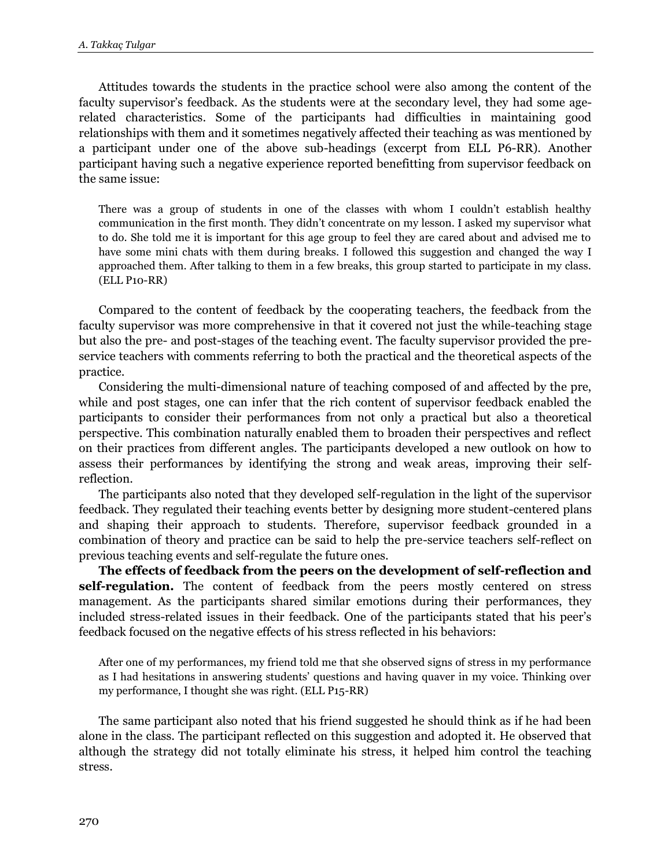Attitudes towards the students in the practice school were also among the content of the faculty supervisor's feedback. As the students were at the secondary level, they had some agerelated characteristics. Some of the participants had difficulties in maintaining good relationships with them and it sometimes negatively affected their teaching as was mentioned by a participant under one of the above sub-headings (excerpt from ELL P6-RR). Another participant having such a negative experience reported benefitting from supervisor feedback on the same issue:

There was a group of students in one of the classes with whom I couldn't establish healthy communication in the first month. They didn't concentrate on my lesson. I asked my supervisor what to do. She told me it is important for this age group to feel they are cared about and advised me to have some mini chats with them during breaks. I followed this suggestion and changed the way I approached them. After talking to them in a few breaks, this group started to participate in my class. (ELL P10-RR)

Compared to the content of feedback by the cooperating teachers, the feedback from the faculty supervisor was more comprehensive in that it covered not just the while-teaching stage but also the pre- and post-stages of the teaching event. The faculty supervisor provided the preservice teachers with comments referring to both the practical and the theoretical aspects of the practice.

Considering the multi-dimensional nature of teaching composed of and affected by the pre, while and post stages, one can infer that the rich content of supervisor feedback enabled the participants to consider their performances from not only a practical but also a theoretical perspective. This combination naturally enabled them to broaden their perspectives and reflect on their practices from different angles. The participants developed a new outlook on how to assess their performances by identifying the strong and weak areas, improving their selfreflection.

The participants also noted that they developed self-regulation in the light of the supervisor feedback. They regulated their teaching events better by designing more student-centered plans and shaping their approach to students. Therefore, supervisor feedback grounded in a combination of theory and practice can be said to help the pre-service teachers self-reflect on previous teaching events and self-regulate the future ones.

**The effects of feedback from the peers on the development of self-reflection and self-regulation.** The content of feedback from the peers mostly centered on stress management. As the participants shared similar emotions during their performances, they included stress-related issues in their feedback. One of the participants stated that his peer's feedback focused on the negative effects of his stress reflected in his behaviors:

After one of my performances, my friend told me that she observed signs of stress in my performance as I had hesitations in answering students' questions and having quaver in my voice. Thinking over my performance, I thought she was right. (ELL P15-RR)

The same participant also noted that his friend suggested he should think as if he had been alone in the class. The participant reflected on this suggestion and adopted it. He observed that although the strategy did not totally eliminate his stress, it helped him control the teaching stress.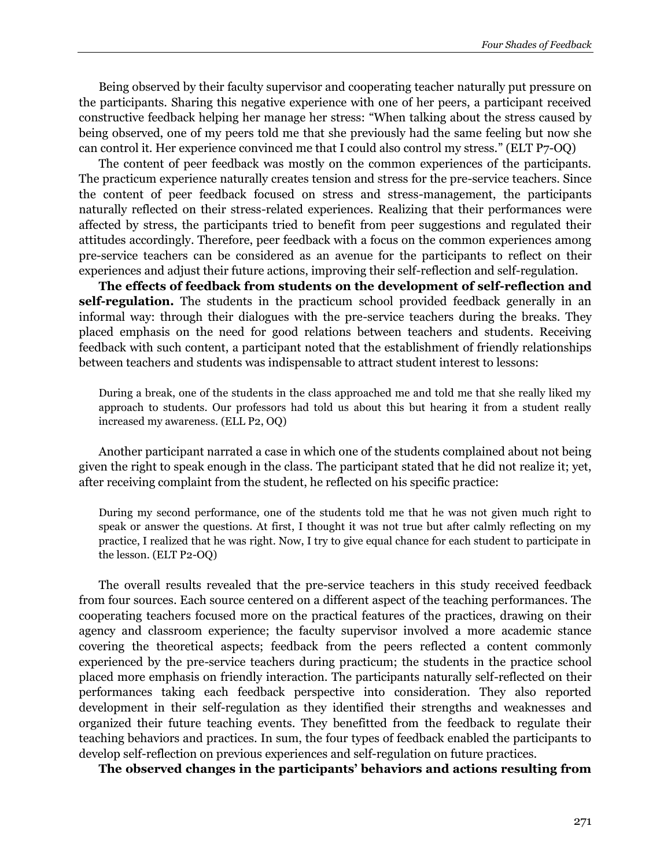Being observed by their faculty supervisor and cooperating teacher naturally put pressure on the participants. Sharing this negative experience with one of her peers, a participant received constructive feedback helping her manage her stress: "When talking about the stress caused by being observed, one of my peers told me that she previously had the same feeling but now she can control it. Her experience convinced me that I could also control my stress." (ELT P7-OQ)

The content of peer feedback was mostly on the common experiences of the participants. The practicum experience naturally creates tension and stress for the pre-service teachers. Since the content of peer feedback focused on stress and stress-management, the participants naturally reflected on their stress-related experiences. Realizing that their performances were affected by stress, the participants tried to benefit from peer suggestions and regulated their attitudes accordingly. Therefore, peer feedback with a focus on the common experiences among pre-service teachers can be considered as an avenue for the participants to reflect on their experiences and adjust their future actions, improving their self-reflection and self-regulation.

**The effects of feedback from students on the development of self-reflection and self-regulation.** The students in the practicum school provided feedback generally in an informal way: through their dialogues with the pre-service teachers during the breaks. They placed emphasis on the need for good relations between teachers and students. Receiving feedback with such content, a participant noted that the establishment of friendly relationships between teachers and students was indispensable to attract student interest to lessons:

During a break, one of the students in the class approached me and told me that she really liked my approach to students. Our professors had told us about this but hearing it from a student really increased my awareness. (ELL P2, OQ)

Another participant narrated a case in which one of the students complained about not being given the right to speak enough in the class. The participant stated that he did not realize it; yet, after receiving complaint from the student, he reflected on his specific practice:

During my second performance, one of the students told me that he was not given much right to speak or answer the questions. At first, I thought it was not true but after calmly reflecting on my practice, I realized that he was right. Now, I try to give equal chance for each student to participate in the lesson. (ELT P2-OQ)

The overall results revealed that the pre-service teachers in this study received feedback from four sources. Each source centered on a different aspect of the teaching performances. The cooperating teachers focused more on the practical features of the practices, drawing on their agency and classroom experience; the faculty supervisor involved a more academic stance covering the theoretical aspects; feedback from the peers reflected a content commonly experienced by the pre-service teachers during practicum; the students in the practice school placed more emphasis on friendly interaction. The participants naturally self-reflected on their performances taking each feedback perspective into consideration. They also reported development in their self-regulation as they identified their strengths and weaknesses and organized their future teaching events. They benefitted from the feedback to regulate their teaching behaviors and practices. In sum, the four types of feedback enabled the participants to develop self-reflection on previous experiences and self-regulation on future practices.

**The observed changes in the participants' behaviors and actions resulting from**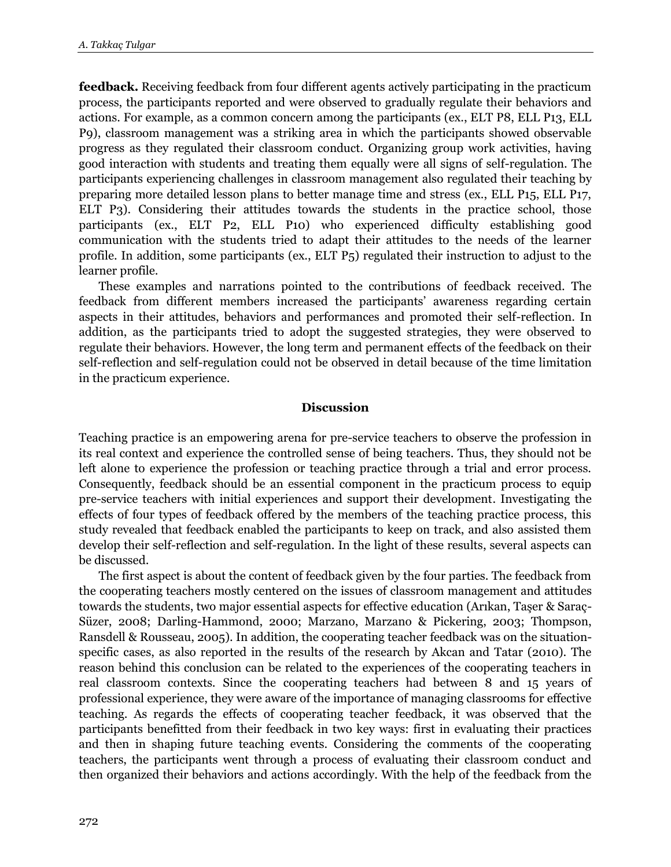**feedback.** Receiving feedback from four different agents actively participating in the practicum process, the participants reported and were observed to gradually regulate their behaviors and actions. For example, as a common concern among the participants (ex., ELT P8, ELL P13, ELL P9), classroom management was a striking area in which the participants showed observable progress as they regulated their classroom conduct. Organizing group work activities, having good interaction with students and treating them equally were all signs of self-regulation. The participants experiencing challenges in classroom management also regulated their teaching by preparing more detailed lesson plans to better manage time and stress (ex., ELL P15, ELL P17, ELT P3). Considering their attitudes towards the students in the practice school, those participants (ex., ELT P2, ELL P10) who experienced difficulty establishing good communication with the students tried to adapt their attitudes to the needs of the learner profile. In addition, some participants (ex., ELT P5) regulated their instruction to adjust to the learner profile.

These examples and narrations pointed to the contributions of feedback received. The feedback from different members increased the participants' awareness regarding certain aspects in their attitudes, behaviors and performances and promoted their self-reflection. In addition, as the participants tried to adopt the suggested strategies, they were observed to regulate their behaviors. However, the long term and permanent effects of the feedback on their self-reflection and self-regulation could not be observed in detail because of the time limitation in the practicum experience.

# **Discussion**

Teaching practice is an empowering arena for pre-service teachers to observe the profession in its real context and experience the controlled sense of being teachers. Thus, they should not be left alone to experience the profession or teaching practice through a trial and error process. Consequently, feedback should be an essential component in the practicum process to equip pre-service teachers with initial experiences and support their development. Investigating the effects of four types of feedback offered by the members of the teaching practice process, this study revealed that feedback enabled the participants to keep on track, and also assisted them develop their self-reflection and self-regulation. In the light of these results, several aspects can be discussed.

The first aspect is about the content of feedback given by the four parties. The feedback from the cooperating teachers mostly centered on the issues of classroom management and attitudes towards the students, two major essential aspects for effective education (Arıkan, Taşer & Saraç-Süzer, 2008; Darling-Hammond, 2000; Marzano, Marzano & Pickering, 2003; Thompson, Ransdell & Rousseau, 2005). In addition, the cooperating teacher feedback was on the situationspecific cases, as also reported in the results of the research by Akcan and Tatar (2010). The reason behind this conclusion can be related to the experiences of the cooperating teachers in real classroom contexts. Since the cooperating teachers had between 8 and 15 years of professional experience, they were aware of the importance of managing classrooms for effective teaching. As regards the effects of cooperating teacher feedback, it was observed that the participants benefitted from their feedback in two key ways: first in evaluating their practices and then in shaping future teaching events. Considering the comments of the cooperating teachers, the participants went through a process of evaluating their classroom conduct and then organized their behaviors and actions accordingly. With the help of the feedback from the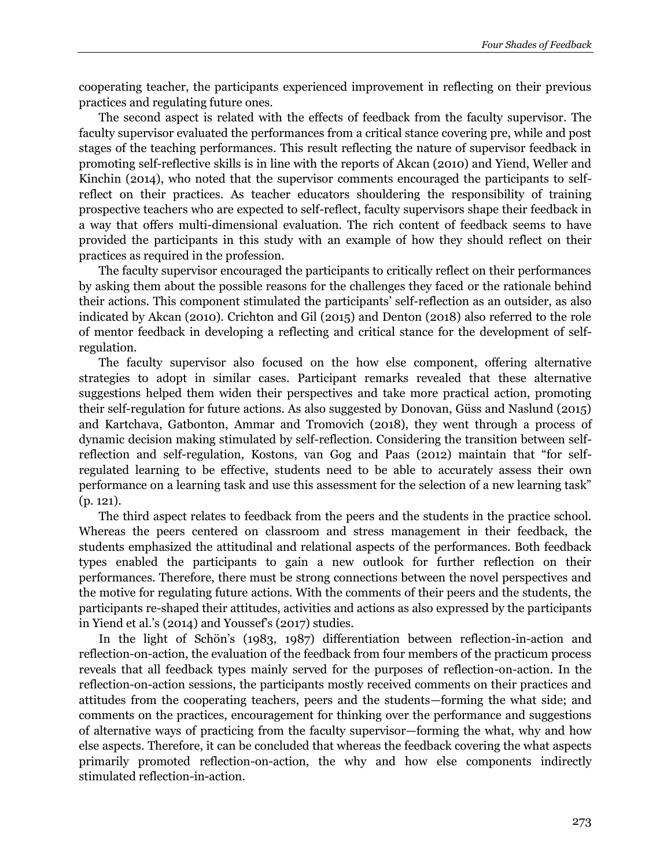cooperating teacher, the participants experienced improvement in reflecting on their previous practices and regulating future ones.

The second aspect is related with the effects of feedback from the faculty supervisor. The faculty supervisor evaluated the performances from a critical stance covering pre, while and post stages of the teaching performances. This result reflecting the nature of supervisor feedback in promoting self-reflective skills is in line with the reports of Akcan (2010) and Yiend, Weller and Kinchin (2014), who noted that the supervisor comments encouraged the participants to selfreflect on their practices. As teacher educators shouldering the responsibility of training prospective teachers who are expected to self-reflect, faculty supervisors shape their feedback in a way that offers multi-dimensional evaluation. The rich content of feedback seems to have provided the participants in this study with an example of how they should reflect on their practices as required in the profession.

The faculty supervisor encouraged the participants to critically reflect on their performances by asking them about the possible reasons for the challenges they faced or the rationale behind their actions. This component stimulated the participants' self-reflection as an outsider, as also indicated by Akcan (2010). Crichton and Gil (2015) and Denton (2018) also referred to the role of mentor feedback in developing a reflecting and critical stance for the development of selfregulation.

The faculty supervisor also focused on the how else component, offering alternative strategies to adopt in similar cases. Participant remarks revealed that these alternative suggestions helped them widen their perspectives and take more practical action, promoting their self-regulation for future actions. As also suggested by Donovan, Güss and Naslund (2015) and Kartchava, Gatbonton, Ammar and Tromovich (2018), they went through a process of dynamic decision making stimulated by self-reflection. Considering the transition between selfreflection and self-regulation, Kostons, van Gog and Paas (2012) maintain that "for selfregulated learning to be effective, students need to be able to accurately assess their own performance on a learning task and use this assessment for the selection of a new learning task" (p. 121).

The third aspect relates to feedback from the peers and the students in the practice school. Whereas the peers centered on classroom and stress management in their feedback, the students emphasized the attitudinal and relational aspects of the performances. Both feedback types enabled the participants to gain a new outlook for further reflection on their performances. Therefore, there must be strong connections between the novel perspectives and the motive for regulating future actions. With the comments of their peers and the students, the participants re-shaped their attitudes, activities and actions as also expressed by the participants in Yiend et al.'s (2014) and Youssef's (2017) studies.

In the light of Schön's (1983, 1987) differentiation between reflection-in-action and reflection-on-action, the evaluation of the feedback from four members of the practicum process reveals that all feedback types mainly served for the purposes of reflection-on-action. In the reflection-on-action sessions, the participants mostly received comments on their practices and attitudes from the cooperating teachers, peers and the students—forming the what side; and comments on the practices, encouragement for thinking over the performance and suggestions of alternative ways of practicing from the faculty supervisor—forming the what, why and how else aspects. Therefore, it can be concluded that whereas the feedback covering the what aspects primarily promoted reflection-on-action, the why and how else components indirectly stimulated reflection-in-action.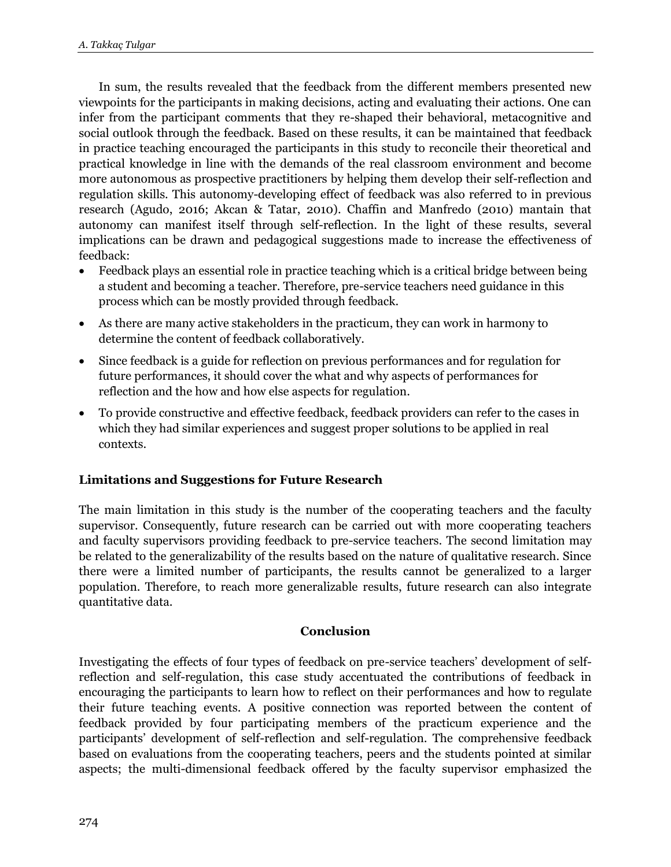In sum, the results revealed that the feedback from the different members presented new viewpoints for the participants in making decisions, acting and evaluating their actions. One can infer from the participant comments that they re-shaped their behavioral, metacognitive and social outlook through the feedback. Based on these results, it can be maintained that feedback in practice teaching encouraged the participants in this study to reconcile their theoretical and practical knowledge in line with the demands of the real classroom environment and become more autonomous as prospective practitioners by helping them develop their self-reflection and regulation skills. This autonomy-developing effect of feedback was also referred to in previous research (Agudo, 2016; Akcan & Tatar, 2010). Chaffin and Manfredo (2010) mantain that autonomy can manifest itself through self-reflection. In the light of these results, several implications can be drawn and pedagogical suggestions made to increase the effectiveness of feedback:

- Feedback plays an essential role in practice teaching which is a critical bridge between being a student and becoming a teacher. Therefore, pre-service teachers need guidance in this process which can be mostly provided through feedback.
- As there are many active stakeholders in the practicum, they can work in harmony to determine the content of feedback collaboratively.
- Since feedback is a guide for reflection on previous performances and for regulation for future performances, it should cover the what and why aspects of performances for reflection and the how and how else aspects for regulation.
- To provide constructive and effective feedback, feedback providers can refer to the cases in which they had similar experiences and suggest proper solutions to be applied in real contexts.

# **Limitations and Suggestions for Future Research**

The main limitation in this study is the number of the cooperating teachers and the faculty supervisor. Consequently, future research can be carried out with more cooperating teachers and faculty supervisors providing feedback to pre-service teachers. The second limitation may be related to the generalizability of the results based on the nature of qualitative research. Since there were a limited number of participants, the results cannot be generalized to a larger population. Therefore, to reach more generalizable results, future research can also integrate quantitative data.

# **Conclusion**

Investigating the effects of four types of feedback on pre-service teachers' development of selfreflection and self-regulation, this case study accentuated the contributions of feedback in encouraging the participants to learn how to reflect on their performances and how to regulate their future teaching events. A positive connection was reported between the content of feedback provided by four participating members of the practicum experience and the participants' development of self-reflection and self-regulation. The comprehensive feedback based on evaluations from the cooperating teachers, peers and the students pointed at similar aspects; the multi-dimensional feedback offered by the faculty supervisor emphasized the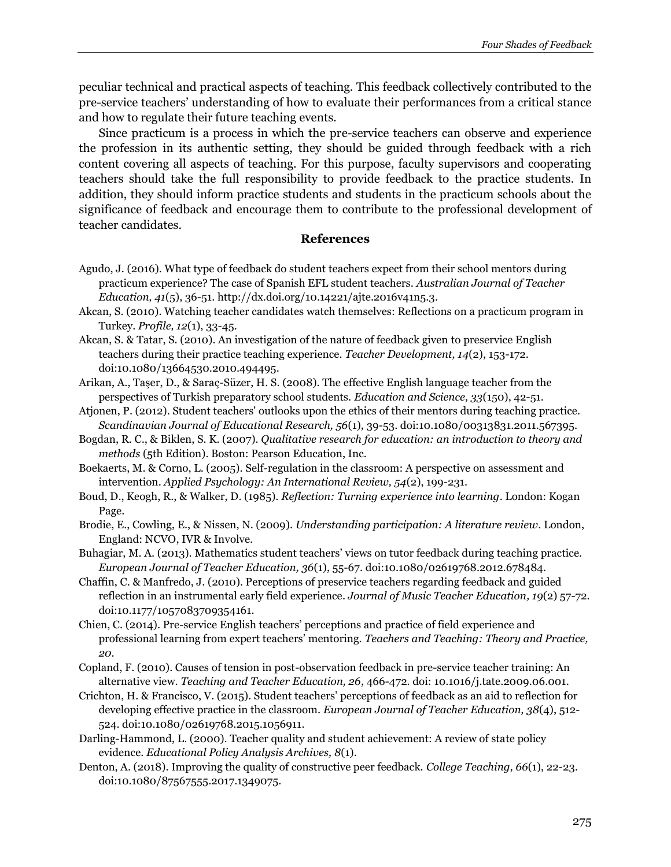peculiar technical and practical aspects of teaching. This feedback collectively contributed to the pre-service teachers' understanding of how to evaluate their performances from a critical stance and how to regulate their future teaching events.

Since practicum is a process in which the pre-service teachers can observe and experience the profession in its authentic setting, they should be guided through feedback with a rich content covering all aspects of teaching. For this purpose, faculty supervisors and cooperating teachers should take the full responsibility to provide feedback to the practice students. In addition, they should inform practice students and students in the practicum schools about the significance of feedback and encourage them to contribute to the professional development of teacher candidates.

#### **References**

- Agudo, J. (2016). What type of feedback do student teachers expect from their school mentors during practicum experience? The case of Spanish EFL student teachers. *Australian Journal of Teacher Education, 41*(5), 36-51. http://dx.doi.org/10.14221/ajte.2016v41n5.3.
- Akcan, S. (2010). Watching teacher candidates watch themselves: Reflections on a practicum program in Turkey. *Profile, 12*(1), 33-45.
- Akcan, S. & Tatar, S. (2010). An investigation of the nature of feedback given to preservice English teachers during their practice teaching experience. *Teacher Development, 14*(2), 153-172. doi:10.1080/13664530.2010.494495.
- Arikan, A., Taşer, D., & Saraç-Süzer, H. S. (2008). The effective English language teacher from the perspectives of Turkish preparatory school students. *Education and Science, 33*(150), 42-51.
- Atjonen, P. (2012). Student teachers' outlooks upon the ethics of their mentors during teaching practice. *Scandinavian Journal of Educational Research, 56*(1), 39-53. doi:10.1080/00313831.2011.567395.
- Bogdan, R. C., & Biklen, S. K. (2007). *Qualitative research for education: an introduction to theory and methods* (5th Edition). Boston: Pearson Education, Inc.
- Boekaerts, M. & Corno, L. (2005). Self-regulation in the classroom: A perspective on assessment and intervention. *Applied Psychology: An International Review, 54*(2), 199-231.
- Boud, D., Keogh, R., & Walker, D. (1985). *Reflection: Turning experience into learning*. London: Kogan Page.
- Brodie, E., Cowling, E., & Nissen, N. (2009). *Understanding participation: A literature review*. London, England: NCVO, IVR & Involve.
- Buhagiar, M. A. (2013). Mathematics student teachers' views on tutor feedback during teaching practice. *European Journal of Teacher Education, 36*(1), 55-67. doi:10.1080/02619768.2012.678484.
- Chaffin, C. & Manfredo, J. (2010). Perceptions of preservice teachers regarding feedback and guided reflection in an instrumental early field experience. *Journal of Music Teacher Education, 19*(2) 57-72. doi:10.1177/1057083709354161.
- Chien, C. (2014). Pre-service English teachers' perceptions and practice of field experience and professional learning from expert teachers' mentoring. *Teachers and Teaching: Theory and Practice, 20*.
- Copland, F. (2010). Causes of tension in post-observation feedback in pre-service teacher training: An alternative view. *Teaching and Teacher Education, 26*, 466-472. doi: 10.1016/j.tate.2009.06.001.
- Crichton, H. & Francisco, V. (2015). Student teachers' perceptions of feedback as an aid to reflection for developing effective practice in the classroom. *European Journal of Teacher Education, 38*(4), 512- 524. doi:10.1080/02619768.2015.1056911.
- Darling-Hammond, L. (2000). Teacher quality and student achievement: A review of state policy evidence. *Educational Policy Analysis Archives, 8*(1).
- Denton, A. (2018). Improving the quality of constructive peer feedback. *College Teaching, 66*(1), 22-23. doi:10.1080/87567555.2017.1349075.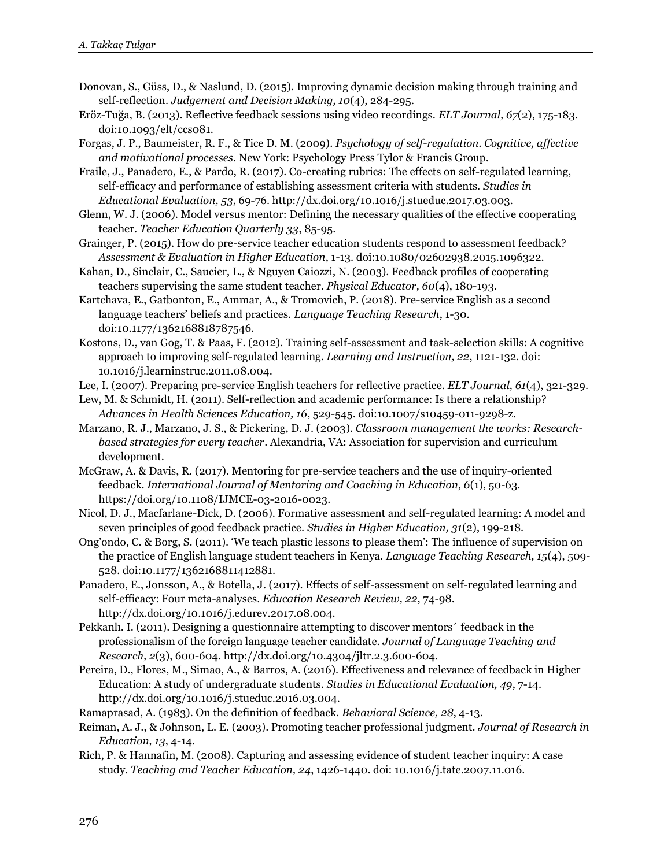- Donovan, S., Güss, D., & Naslund, D. (2015). Improving dynamic decision making through training and self-reflection. *Judgement and Decision Making, 10*(4), 284-295.
- Eröz-Tuğa, B. (2013). Reflective feedback sessions using video recordings. *ELT Journal, 67*(2), 175-183. doi:10.1093/elt/ccs081.
- Forgas, J. P., Baumeister, R. F., & Tice D. M. (2009). *Psychology of self-regulation. Cognitive, affective and motivational processes*. New York: Psychology Press Tylor & Francis Group.
- Fraile, J., Panadero, E., & Pardo, R. (2017). Co-creating rubrics: The effects on self-regulated learning, self-efficacy and performance of establishing assessment criteria with students. *Studies in Educational Evaluation, 53*, 69-76. http://dx.doi.org/10.1016/j.stueduc.2017.03.003.
- Glenn, W. J. (2006). Model versus mentor: Defining the necessary qualities of the effective cooperating teacher. *Teacher Education Quarterly 33*, 85-95.
- Grainger, P. (2015). How do pre-service teacher education students respond to assessment feedback? *Assessment & Evaluation in Higher Education*, 1-13. doi:10.1080/02602938.2015.1096322.
- Kahan, D., Sinclair, C., Saucier, L., & Nguyen Caiozzi, N. (2003). Feedback profiles of cooperating teachers supervising the same student teacher. *Physical Educator, 60*(4), 180-193.
- Kartchava, E., Gatbonton, E., Ammar, A., & Tromovich, P. (2018). Pre-service English as a second language teachers' beliefs and practices. *Language Teaching Research*, 1-30. doi:10.1177/1362168818787546.
- Kostons, D., van Gog, T. & Paas, F. (2012). Training self-assessment and task-selection skills: A cognitive approach to improving self-regulated learning. *Learning and Instruction, 22*, 1121-132. doi: 10.1016/j.learninstruc.2011.08.004.
- Lee, I. (2007). Preparing pre-service English teachers for reflective practice. *ELT Journal, 61*(4), 321-329.
- Lew, M. & Schmidt, H. (2011). Self-reflection and academic performance: Is there a relationship? *Advances in Health Sciences Education, 16*, 529-545. doi:10.1007/s10459-011-9298-z.
- Marzano, R. J., Marzano, J. S., & Pickering, D. J. (2003). *Classroom management the works: Researchbased strategies for every teacher*. Alexandria, VA: Association for supervision and curriculum development.
- McGraw, A. & Davis, R. (2017). Mentoring for pre-service teachers and the use of inquiry-oriented feedback. *International Journal of Mentoring and Coaching in Education, 6*(1), 50-63. https://doi.org/10.1108/IJMCE-03-2016-0023.
- Nicol, D. J., Macfarlane-Dick, D. (2006). Formative assessment and self-regulated learning: A model and seven principles of good feedback practice. *Studies in Higher Education, 31*(2), 199-218.
- Ong'ondo, C. & Borg, S. (2011). 'We teach plastic lessons to please them': The influence of supervision on the practice of English language student teachers in Kenya. *Language Teaching Research, 15*(4), 509- 528. doi:10.1177/1362168811412881.
- Panadero, E., Jonsson, A., & Botella, J. (2017). Effects of self-assessment on self-regulated learning and self-efficacy: Four meta-analyses. *Education Research Review, 22*, 74-98. http://dx.doi.org/10.1016/j.edurev.2017.08.004.
- Pekkanlı. I. (2011). Designing a questionnaire attempting to discover mentors´ feedback in the professionalism of the foreign language teacher candidate. *Journal of Language Teaching and Research, 2*(3), 600-604. http://dx.doi.org/10.4304/jltr.2.3.600-604.
- Pereira, D., Flores, M., Simao, A., & Barros, A. (2016). Effectiveness and relevance of feedback in Higher Education: A study of undergraduate students. *Studies in Educational Evaluation, 49*, 7-14. http://dx.doi.org/10.1016/j.stueduc.2016.03.004.
- Ramaprasad, A. (1983). On the definition of feedback. *Behavioral Science, 28*, 4-13.
- Reiman, A. J., & Johnson, L. E. (2003). Promoting teacher professional judgment. *Journal of Research in Education, 13*, 4-14.
- Rich, P. & Hannafin, M. (2008). Capturing and assessing evidence of student teacher inquiry: A case study. *Teaching and Teacher Education, 24*, 1426-1440. doi: 10.1016/j.tate.2007.11.016.